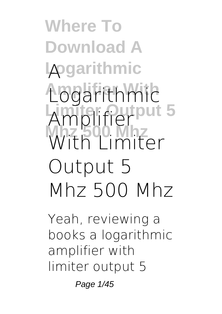**Where To Download A Logarithmic A Amplifier With Logarithmic** Amplifier<sup>put 5</sup> **Mhz 500 Mhz With Limiter Output 5 Mhz 500 Mhz**

Yeah, reviewing a books **a logarithmic amplifier with limiter output 5**

Page 1/45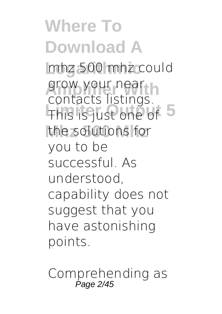**Where To Download A Logarithmic mhz 500 mhz** could grow your near This is just one of 5 the solutions for contacts listings. you to be successful. As understood, capability does not suggest that you have astonishing points.

Comprehending as Page 2/45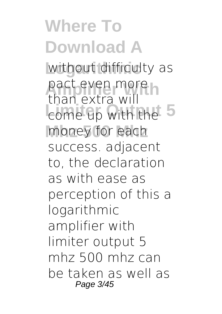**Where To Download A** without difficulty as pact even more **Limited Strategy** money for each than extra will success. adjacent to, the declaration as with ease as perception of this a logarithmic amplifier with limiter output 5 mhz 500 mhz can be taken as well as Page 3/45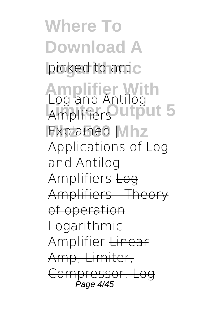**Where To Download A** picked to act.c **Amplifier With** *Log and Antilog* **Limiter Output 5** *Amplifiers* **Mhz 500 Mhz** *Explained | Applications of Log and Antilog Amplifiers* Log Amplifiers - Theory of operation *Logarithmic Amplifier* Linear Amp, Limiter, Compressor, Log Page 4/45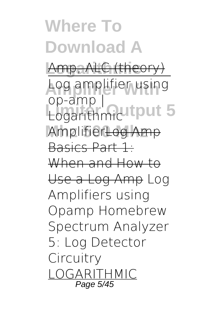**Where To Download A Amp, ALC (theory)** Log amplifier using Logarithmicutiput 5 **Mhz 500 Mhz** AmplifierLog Amp op-amp | Basics Part 1: When and How to Use a Log Amp *Log Amplifiers using Opamp Homebrew Spectrum Analyzer 5: Log Detector Circuitry* LOGARITHMIC Page 5/45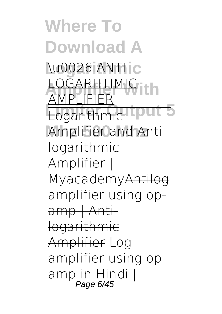**Where To Download A Lu0026 ANTIC LOGARITHMIC** Logarithmichtput 5 Amplifier and Anti AMPLIFIER logarithmic Amplifier | MyacademyAntilog amplifier using op amp | Antilogarithmic Amplifier *Log amplifier using opamp in Hindi |* Page 6/45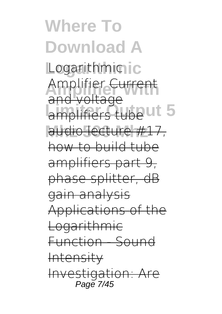**Where To Download A Logarithmic** *Logarithmic* Amplifier Current amplifiers tube ut 5 audio lecture #17, and voltage how to build tube amplifiers part 9, phase splitter, dB gain analysis Applications of the Logarithmic Function - Sound Intensity Investigation: Are Page 7/45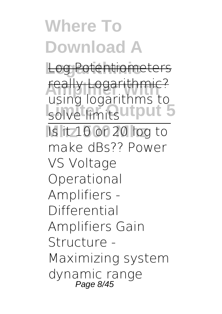## **Where To Download A**

**Log Potentiometers** 

**really Logarithmic?**<br>Using logarithms to solve limits utput 5 *using logarithms to*

**Mhz 500 Mhz** Is it 10 or 20 log to make dBs?? Power VS Voltage **Operational Amplifiers - Differential Amplifiers** *Gain Structure - Maximizing system dynamic range* Page 8/45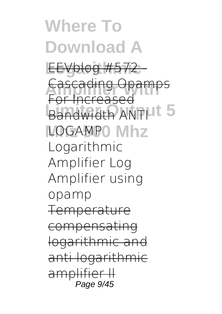**Where To Download A Logarithmic** EEVblog #572 - **Cascading Opamps Bandwidth ANTILL 5** LOGAMP0 Mhz For Increased **Logarithmic Amplifier Log Amplifier using opamp** Temperat compensating logarithmic and <u>logarithmic</u> amplifier Page 9/45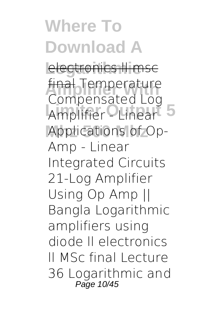**Where To Download A Lectronics II msc final Temperature** Amplifier - Linear<sup>5</sup> Applications of Op-Compensated Log Amp - Linear Integrated Circuits 21-Log Amplifier Using Op Amp || Bangla Logarithmic amplifiers using diode ll electronics ll MSc final *Lecture 36 Logarithmic and* Page 10/45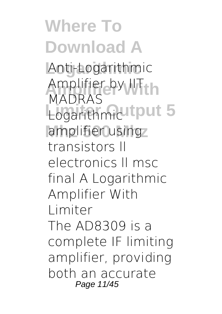**Where To Download A Logarithmic** *Anti-Logarithmic* **Amplifier With** *Amplifier by IIT* **Logarithmicutput 5** amplifier using *MADRAS* **transistors ll electronics ll msc final** *A Logarithmic Amplifier With Limiter* The AD8309 is a complete IF limiting amplifier, providing both an accurate Page 11/45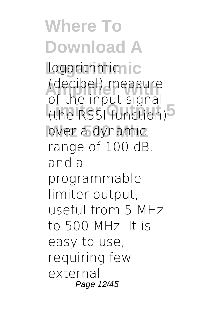**Where To Download A Logarithmic** logarithmic **(decibel)** measure (the RSSI function)<sup>5</sup> over a dynamic of the input signal range of 100 dB, and a programmable limiter output, useful from 5 MHz to 500 MHz. It is easy to use, requiring few external Page 12/45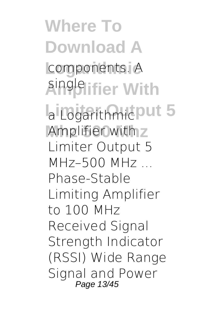**Where To Download A** components. A **Amplifier With** single  $a$  Logarithmic<sub>put 5</sub> Amplifier with z *Limiter Output 5 MHz–500 MHz ...* Phase-Stable Limiting Amplifier to 100 MHz Received Signal Strength Indicator (RSSI) Wide Range Signal and Power Page 13/45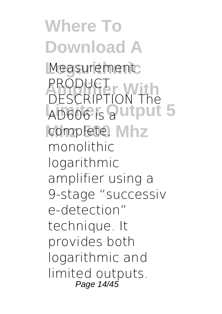**Where To Download A** Measurement **PRODUCT AD606** is a utput 5 complete, Mhz DESCRIPTION The monolithic logarithmic amplifier using a 9-stage "successiv e-detection" technique. It provides both logarithmic and limited outputs. Page 14/45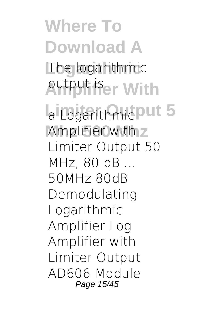**Where To Download A Logarithmic** The logarithmic **Amplifier With** output is  $a$  Logarithmic<sub>put 5</sub> Amplifier with z *Limiter Output 50 MHz, 80 dB ...* 50MHz 80dB Demodulating Logarithmic Amplifier Log Amplifier with Limiter Output AD606 Module Page 15/45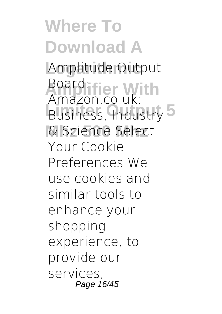**Where To Download A Logarithmic** Amplitude Output **Amplifier With** Board: **Business, Industry 5 Mhz 500 Mhz** & Science Select Amazon.co.uk: Your Cookie Preferences We use cookies and similar tools to enhance your shopping experience, to provide our services, Page 16/45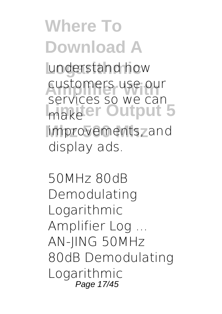**Where To Download A** understand how customers use our **Limiter Output 5** improvements<sub>7</sub> and services so we can display ads.

*50MHz 80dB Demodulating Logarithmic Amplifier Log ...* AN-JING 50MHz 80dB Demodulating Logarithmic Page 17/45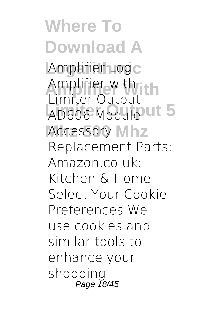**Where To Download A** Amplifier Log<sub>c</sub> **Amplifier With** Amplifier with AD606 Module **ut 5** Accessory Mhz Limiter Output Replacement Parts: Amazon.co.uk: Kitchen & Home Select Your Cookie Preferences We use cookies and similar tools to enhance your shopping Page 18/45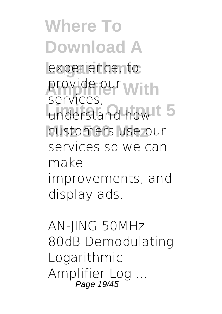**Where To Download A** experience, to provide our **With** understand how 15 customers use our services, services so we can make improvements, and display ads.

*AN-JING 50MHz 80dB Demodulating Logarithmic Amplifier Log ...* Page 19/45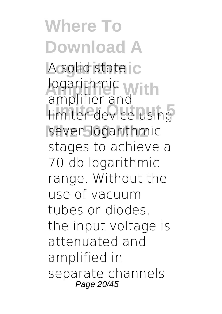**Where To Download A** A solid state ic logarithmic<br> *Amplifier* 2nd **Limiter device using** seven logarithmic amplifier and stages to achieve a 70 db logarithmic range. Without the use of vacuum tubes or diodes, the input voltage is attenuated and amplified in separate channels Page 20/45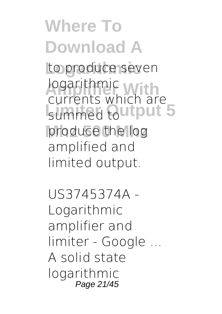**Where To Download A** to produce seven **Logarithmic**<br> **Russents**<br> **Which Russents** summed Qutput 5 produce the log currents which are amplified and limited output.

*US3745374A - Logarithmic amplifier and limiter - Google ...* A solid state logarithmic Page 21/45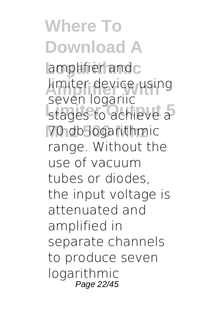**Where To Download A** amplifier and c limiter device using stages to achieve a 70 db logarithmic seven logariic range. Without the use of vacuum tubes or diodes, the input voltage is attenuated and amplified in separate channels to produce seven logarithmic Page 22/45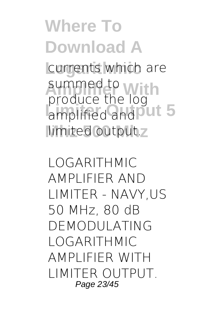**Where To Download A** currents which are summed to **With** amplified and out 5 limited output.z produce the log

*LOGARITHMIC AMPLIFIER AND LIMITER - NAVY,US* 50 MHz, 80 dB DEMODULATING LOGARITHMIC AMPLIFIER WITH LIMITER OUTPUT. Page 23/45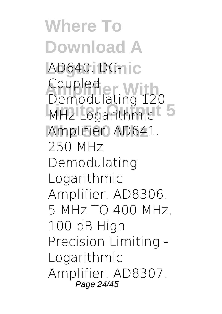**Where To Download A** AD640. DC-nic Coupled<br>Demodulating 12 MHz Logarithmic<sup>1</sup> 5 Amplifier. AD641. Demodulating 120 250 MHz Demodulating Logarithmic Amplifier. AD8306. 5 MHz TO 400 MHz, 100 dB High Precision Limiting - Logarithmic Amplifier. AD8307. Page 24/45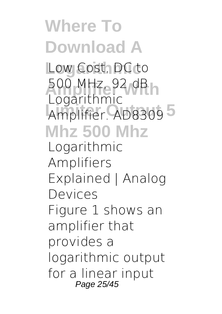**Where To Download A** Low Cost, DC to 500 MHz, 92 dB<br>Legarithmic Amplifier. AD8309<sup>5</sup> **Mhz 500 Mhz** Logarithmic *Logarithmic Amplifiers Explained | Analog Devices* Figure 1 shows an amplifier that provides a logarithmic output for a linear input Page 25/45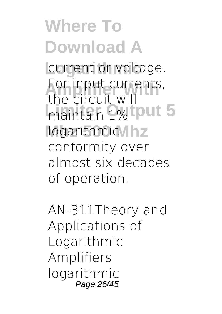**Where To Download A** current or voltage. For input currents,<br>the sircuit will maintain 1% put 5 logarithmic/lhz the circuit will conformity over almost six decades of operation.

*AN-311Theory and Applications of Logarithmic Amplifiers* logarithmic Page 26/45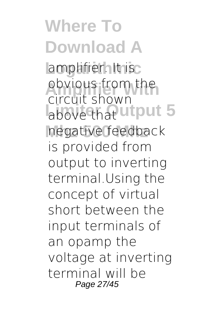**Where To Download A** amplifier. It isc obvious from the above that utput 5 negative feedback circuit shown is provided from output to inverting terminal.Using the concept of virtual short between the input terminals of an opamp the voltage at inverting terminal will be Page 27/45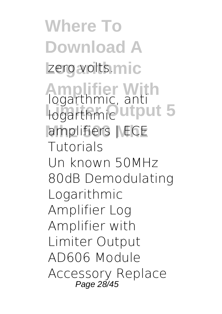**Where To Download A** zero volts.mic **Amplifier With** *logarthmic, anti* **Logarthmic** utput 5 amplifiers | ECE *Tutorials* Un known 50MHz 80dB Demodulating Logarithmic Amplifier Log Amplifier with Limiter Output AD606 Module Accessory Replace Page 28/45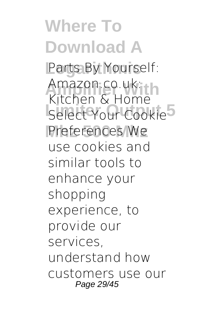**Where To Download A** Parts By Yourself: Amazon.co.uk<br>Kitabon & Home Select Your Cookie<sup>5</sup> Preferences We Kitchen & Home use cookies and similar tools to enhance your shopping experience, to provide our services, understand how customers use our Page 29/45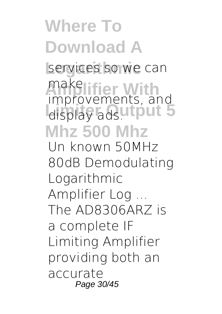**Where To Download A** services so we can make**lifier** With display adsutput 5 **Mhz 500 Mhz** improvements, and

*Un known 50MHz 80dB Demodulating Logarithmic Amplifier Log ...* The AD8306ARZ is a complete IF Limiting Amplifier providing both an accurate Page 30/45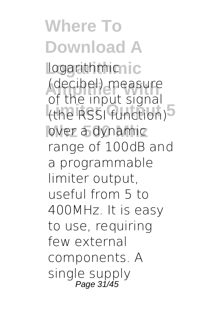**Where To Download A Logarithmic** logarithmic **(decibel)** measure (the RSSI function)<sup>5</sup> over a dynamic of the input signal range of 100dB and a programmable limiter output, useful from 5 to 400MHz. It is easy to use, requiring few external components. A single supply Page 31/45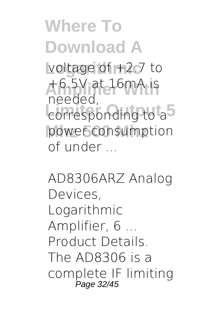**Where To Download A** voltage of +2.7 to **Amplifier With** +6.5V at 16mA is **Little Strate**<br> **Limited** 5 power consumption needed, of under ...

*AD8306ARZ Analog Devices, Logarithmic Amplifier, 6 ...* Product Details. The AD8306 is a complete IF limiting Page 32/45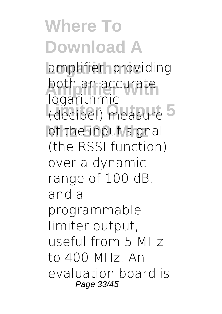**Where To Download A** amplifier, providing both an accurate (decibel) measure 5 of the input signal logarithmic (the RSSI function) over a dynamic range of 100 dB, and a programmable limiter output, useful from 5 MHz to 400 MHz. An evaluation board is Page 33/45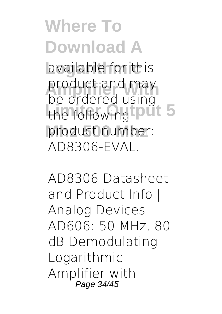**Where To Download A** available for this product and may the following put 5 product number: be ordered using AD8306-EVAL.

*AD8306 Datasheet and Product Info | Analog Devices* AD606: 50 MHz, 80 dB Demodulating Logarithmic Amplifier with Page 34/45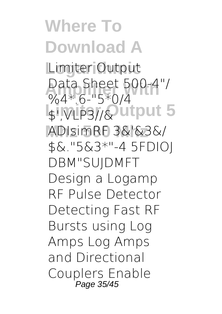**Where To Download A** Limiter Output **Data Sheet 500-4"/**<br>
MAX 6 "EXO/4" **Limiter Output 5** \$',VLP3//& **Mhz 500 Mhz** ADIsimRF 3&'&3&/  $%4*6-"5*0/4$ \$&."5&3\*"-4 5FDIOJ DBM"SUJDMFT Design a Logamp RF Pulse Detector Detecting Fast RF Bursts using Log Amps Log Amps and Directional Couplers Enable Page 35/45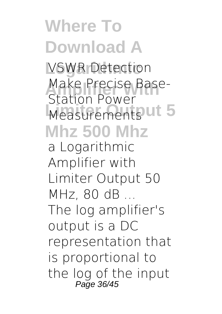## **Where To Download A VSWR Detection** Make Precise Base-<br>Station Power Measurements **ut 5 Mhz 500 Mhz** Station Power

*a Logarithmic Amplifier with Limiter Output 50 MHz, 80 dB ...* The log amplifier's output is a DC representation that is proportional to the log of the input Page 36/45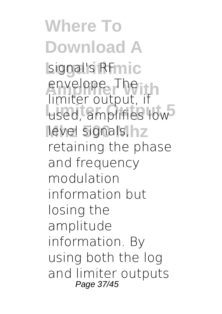**Where To Download A** signal's RFmic envelope. The used, amplifies low<sup>3</sup> level signals, hz limiter output, if retaining the phase and frequency modulation information but losing the amplitude information. By using both the log and limiter outputs Page 37/45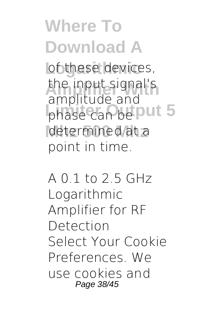**Where To Download A** of these devices, the input signal's phase can be put 5 determined at a amplitude and point in time.

*A 0.1 to 2.5 GHz Logarithmic Amplifier for RF Detection* Select Your Cookie Preferences. We use cookies and Page 38/45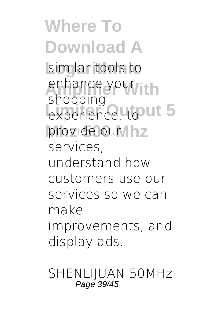**Where To Download A Logarithmic** similar tools to enhance your<sub>lith</sub> experience, tout 5 provide our lhz shopping services, understand how customers use our services so we can make improvements, and display ads.

*SHENLIJUAN 50MHz* Page 39/45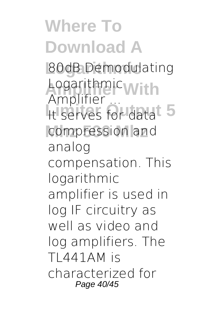## **Where To Download A**

**Logarithmic** *80dB Demodulating* **Amplifier With** *Logarithmic* It serves for data<sup>t</sup> 5 compression and *Amplifier ...* analog compensation. This logarithmic amplifier is used in log IF circuitry as well as video and log amplifiers. The TL441AM is characterized for Page 40/45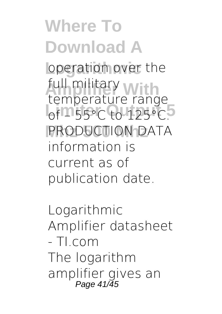**Where To Download A** operation over the full military with of  $-$  55°C to 125°C. PRODUCTION DATA temperature range information is current as of publication date.

*Logarithmic Amplifier datasheet - TI.com* The logarithm amplifier gives an Page 41/45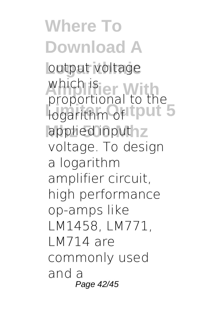**Where To Download A** output voltage which is<br>*<u>proportional</u>* to the **Linda** Logarithm of the Linda 5 applied inputhz proportional to the voltage. To design a logarithm amplifier circuit, high performance op-amps like LM1458, LM771, LM714 are commonly used and a Page 42/45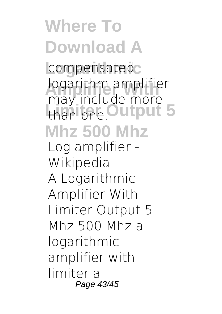## **Where To Download A** compensated<sub>c</sub> **Logarithm amplifier** than one. Output 5 **Mhz 500 Mhz** may include more *Log amplifier - Wikipedia* A Logarithmic Amplifier With Limiter Output 5 Mhz 500 Mhz a logarithmic amplifier with limiter a Page 43/45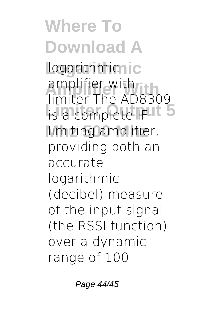**Where To Download A Logarithmic** logarithmic **Amplifier With** amplifier with **Limiter Propiete IFUL 5** limiting amplifier, limiter The AD8309 providing both an accurate logarithmic (decibel) measure of the input signal (the RSSI function) over a dynamic range of 100